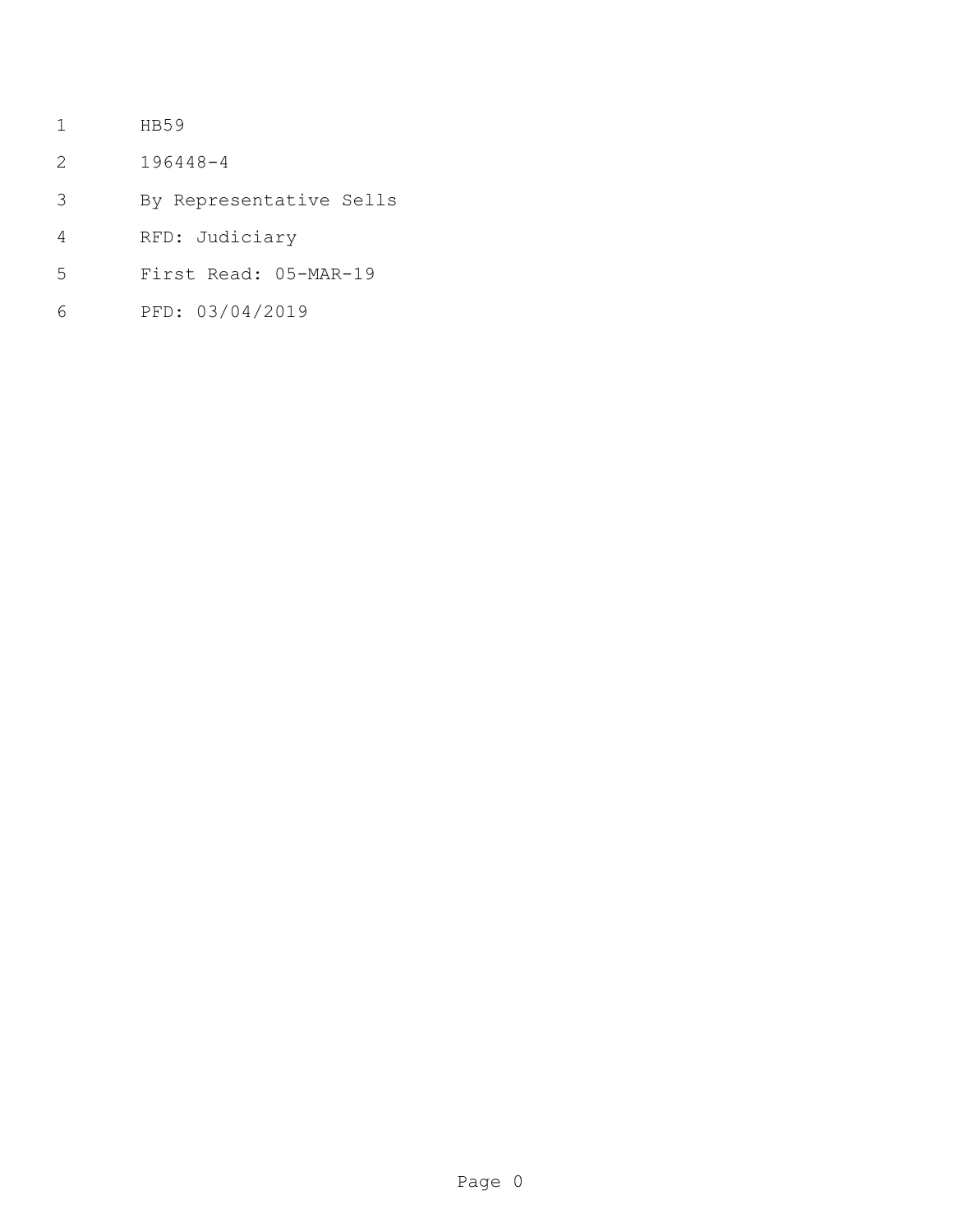- HB59
- 196448-4
- By Representative Sells
- RFD: Judiciary
- First Read: 05-MAR-19
- PFD: 03/04/2019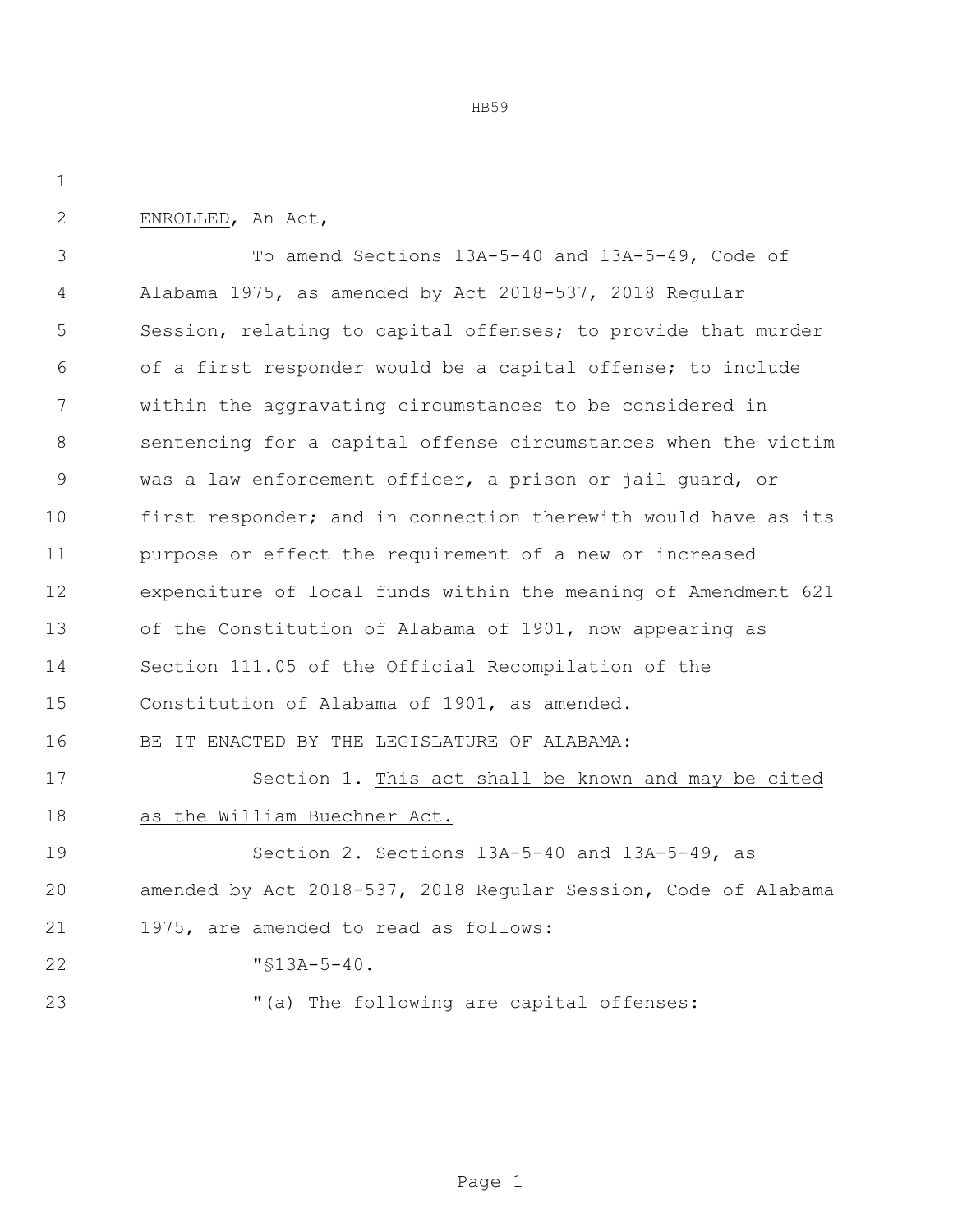HB59

ENROLLED, An Act,

 To amend Sections 13A-5-40 and 13A-5-49, Code of Alabama 1975, as amended by Act 2018-537, 2018 Regular Session, relating to capital offenses; to provide that murder of a first responder would be a capital offense; to include within the aggravating circumstances to be considered in sentencing for a capital offense circumstances when the victim was a law enforcement officer, a prison or jail guard, or first responder; and in connection therewith would have as its purpose or effect the requirement of a new or increased expenditure of local funds within the meaning of Amendment 621 of the Constitution of Alabama of 1901, now appearing as Section 111.05 of the Official Recompilation of the Constitution of Alabama of 1901, as amended. BE IT ENACTED BY THE LEGISLATURE OF ALABAMA: Section 1. This act shall be known and may be cited as the William Buechner Act. Section 2. Sections 13A-5-40 and 13A-5-49, as amended by Act 2018-537, 2018 Regular Session, Code of Alabama 1975, are amended to read as follows:

- "§13A-5-40.
- 

23  $( a )$  The following are capital offenses: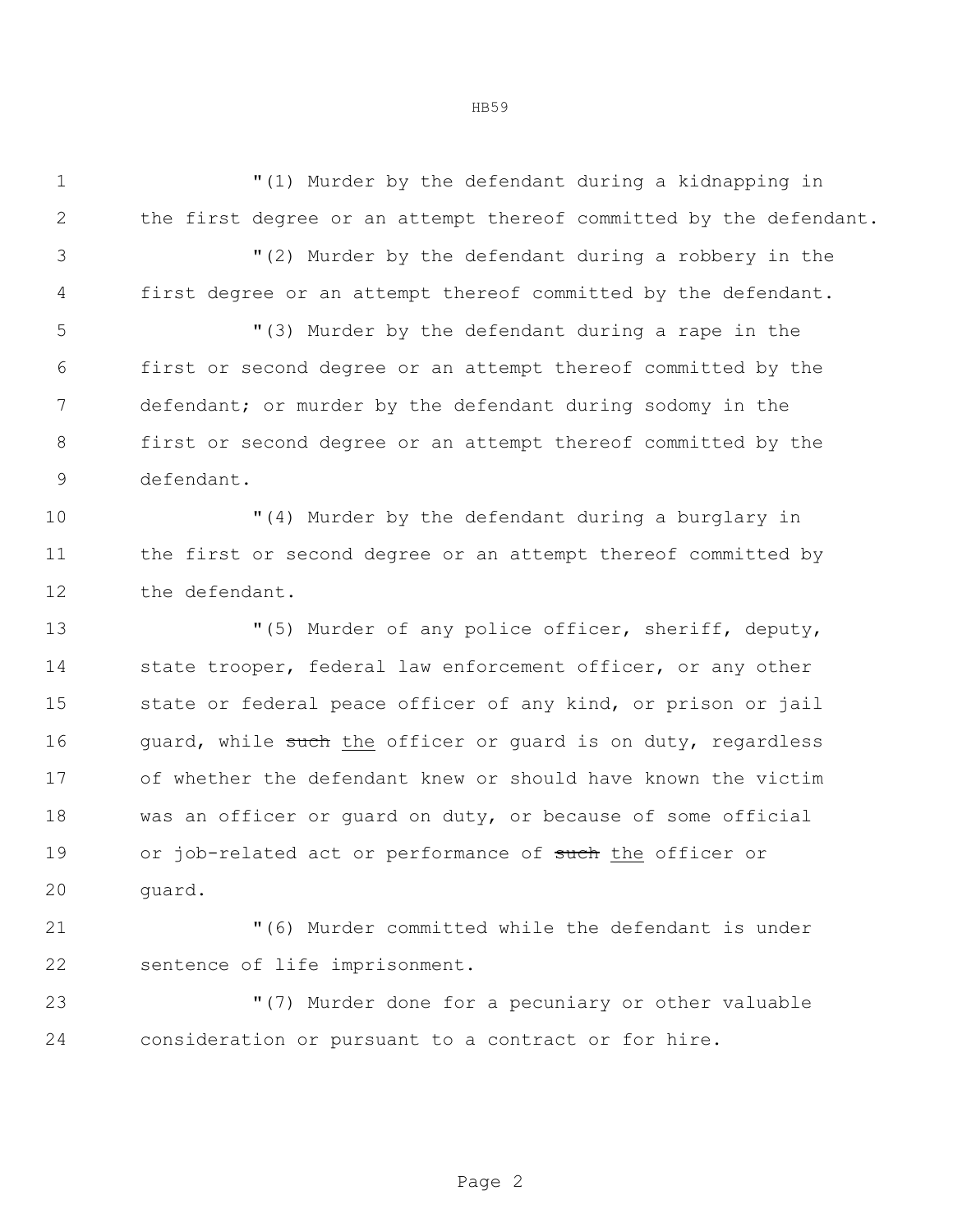"(1) Murder by the defendant during a kidnapping in the first degree or an attempt thereof committed by the defendant.

 "(2) Murder by the defendant during a robbery in the first degree or an attempt thereof committed by the defendant.

 "(3) Murder by the defendant during a rape in the first or second degree or an attempt thereof committed by the defendant; or murder by the defendant during sodomy in the first or second degree or an attempt thereof committed by the defendant.

 "(4) Murder by the defendant during a burglary in the first or second degree or an attempt thereof committed by the defendant.

 "(5) Murder of any police officer, sheriff, deputy, 14 state trooper, federal law enforcement officer, or any other state or federal peace officer of any kind, or prison or jail 16 guard, while such the officer or guard is on duty, regardless of whether the defendant knew or should have known the victim was an officer or guard on duty, or because of some official 19 or job-related act or performance of such the officer or guard.

 "(6) Murder committed while the defendant is under sentence of life imprisonment.

 "(7) Murder done for a pecuniary or other valuable consideration or pursuant to a contract or for hire.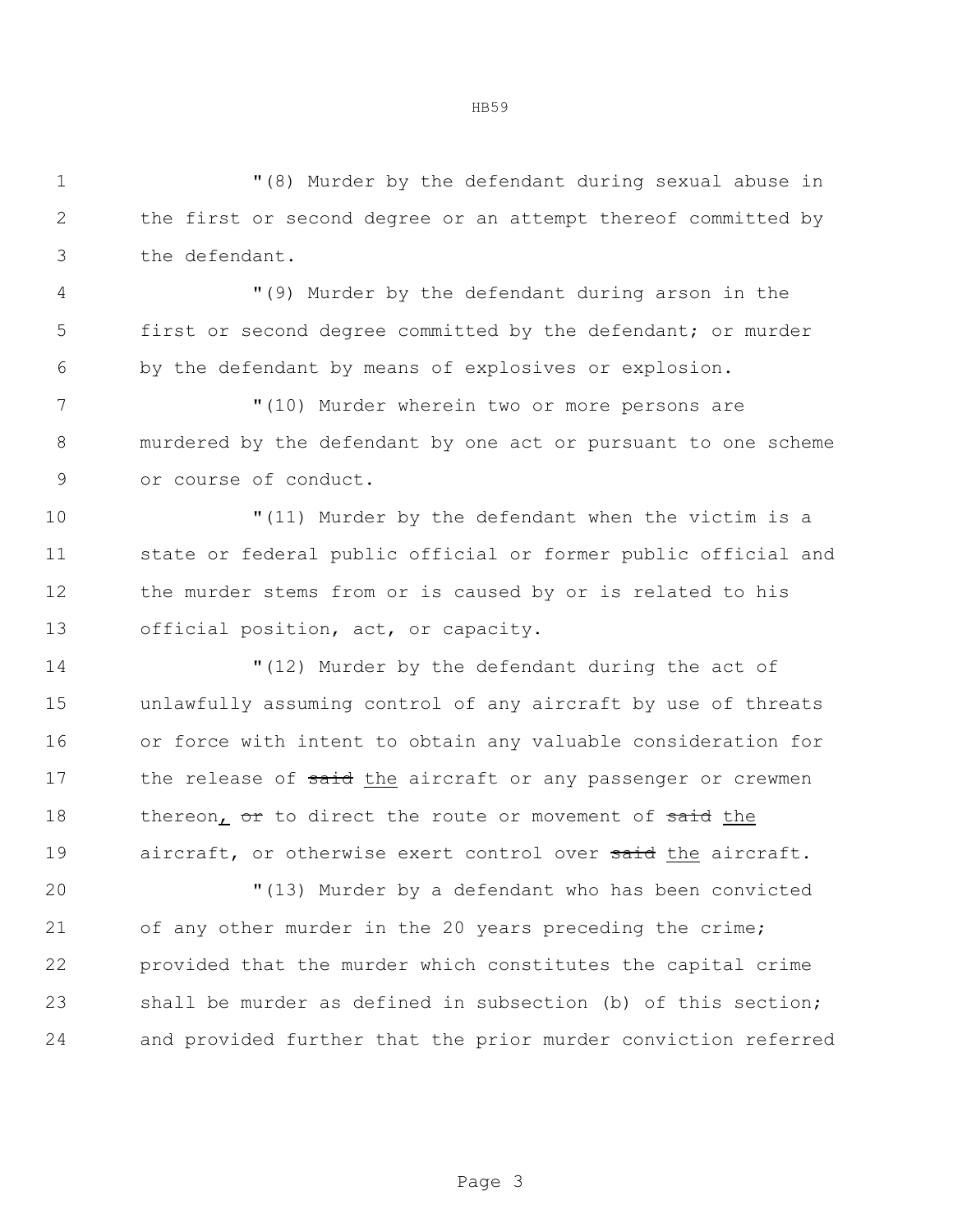"(8) Murder by the defendant during sexual abuse in the first or second degree or an attempt thereof committed by the defendant.

 "(9) Murder by the defendant during arson in the first or second degree committed by the defendant; or murder by the defendant by means of explosives or explosion.

 "(10) Murder wherein two or more persons are murdered by the defendant by one act or pursuant to one scheme or course of conduct.

 "(11) Murder by the defendant when the victim is a state or federal public official or former public official and the murder stems from or is caused by or is related to his official position, act, or capacity.

 "(12) Murder by the defendant during the act of unlawfully assuming control of any aircraft by use of threats or force with intent to obtain any valuable consideration for 17 the release of said the aircraft or any passenger or crewmen 18 thereon, or to direct the route or movement of said the 19 aircraft, or otherwise exert control over said the aircraft.

 "(13) Murder by a defendant who has been convicted of any other murder in the 20 years preceding the crime; provided that the murder which constitutes the capital crime shall be murder as defined in subsection (b) of this section; and provided further that the prior murder conviction referred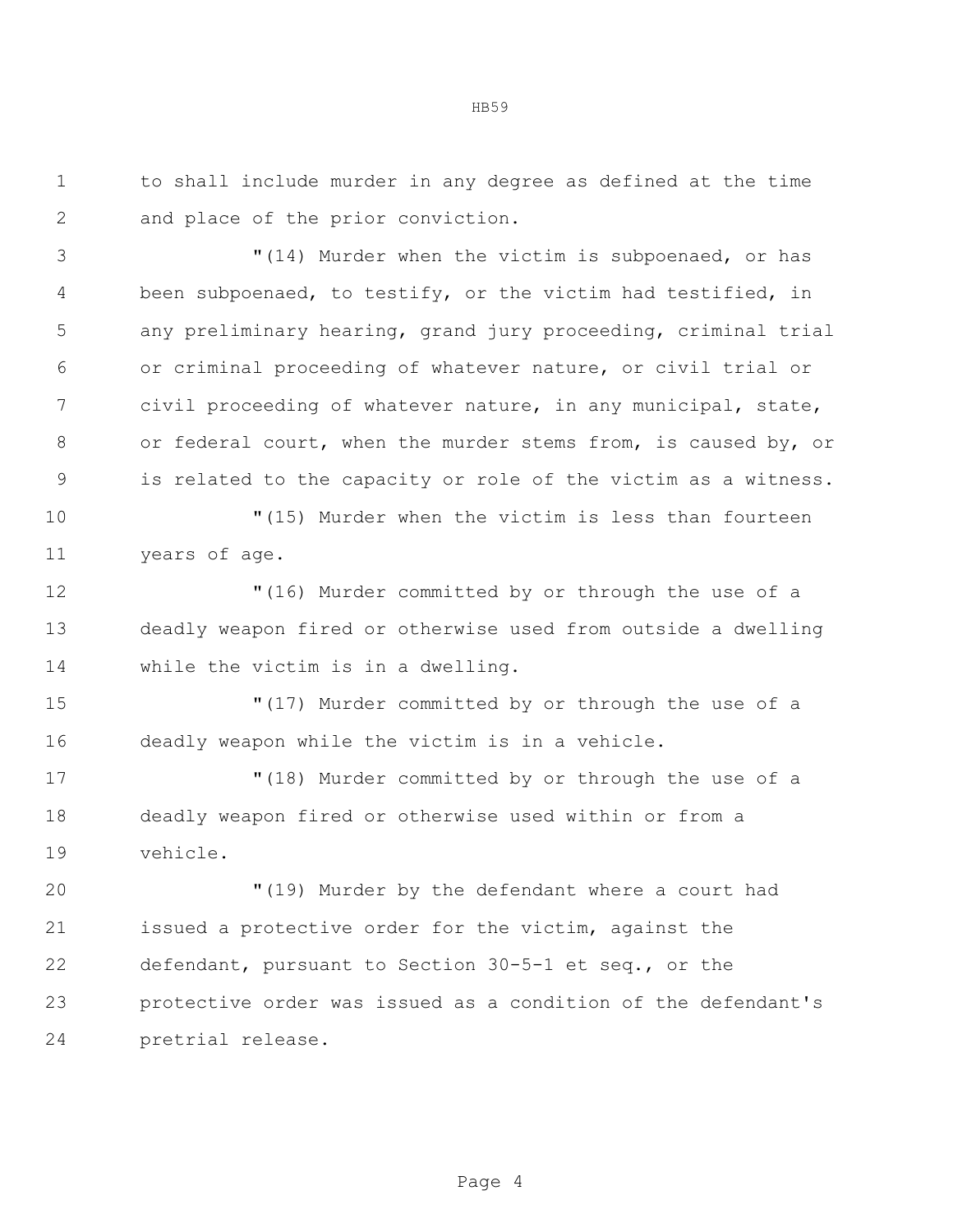to shall include murder in any degree as defined at the time and place of the prior conviction.

 "(14) Murder when the victim is subpoenaed, or has been subpoenaed, to testify, or the victim had testified, in any preliminary hearing, grand jury proceeding, criminal trial or criminal proceeding of whatever nature, or civil trial or civil proceeding of whatever nature, in any municipal, state, or federal court, when the murder stems from, is caused by, or is related to the capacity or role of the victim as a witness.

 "(15) Murder when the victim is less than fourteen years of age.

 "(16) Murder committed by or through the use of a deadly weapon fired or otherwise used from outside a dwelling while the victim is in a dwelling.

 "(17) Murder committed by or through the use of a deadly weapon while the victim is in a vehicle.

 "(18) Murder committed by or through the use of a deadly weapon fired or otherwise used within or from a vehicle.

 "(19) Murder by the defendant where a court had issued a protective order for the victim, against the defendant, pursuant to Section 30-5-1 et seq., or the protective order was issued as a condition of the defendant's pretrial release.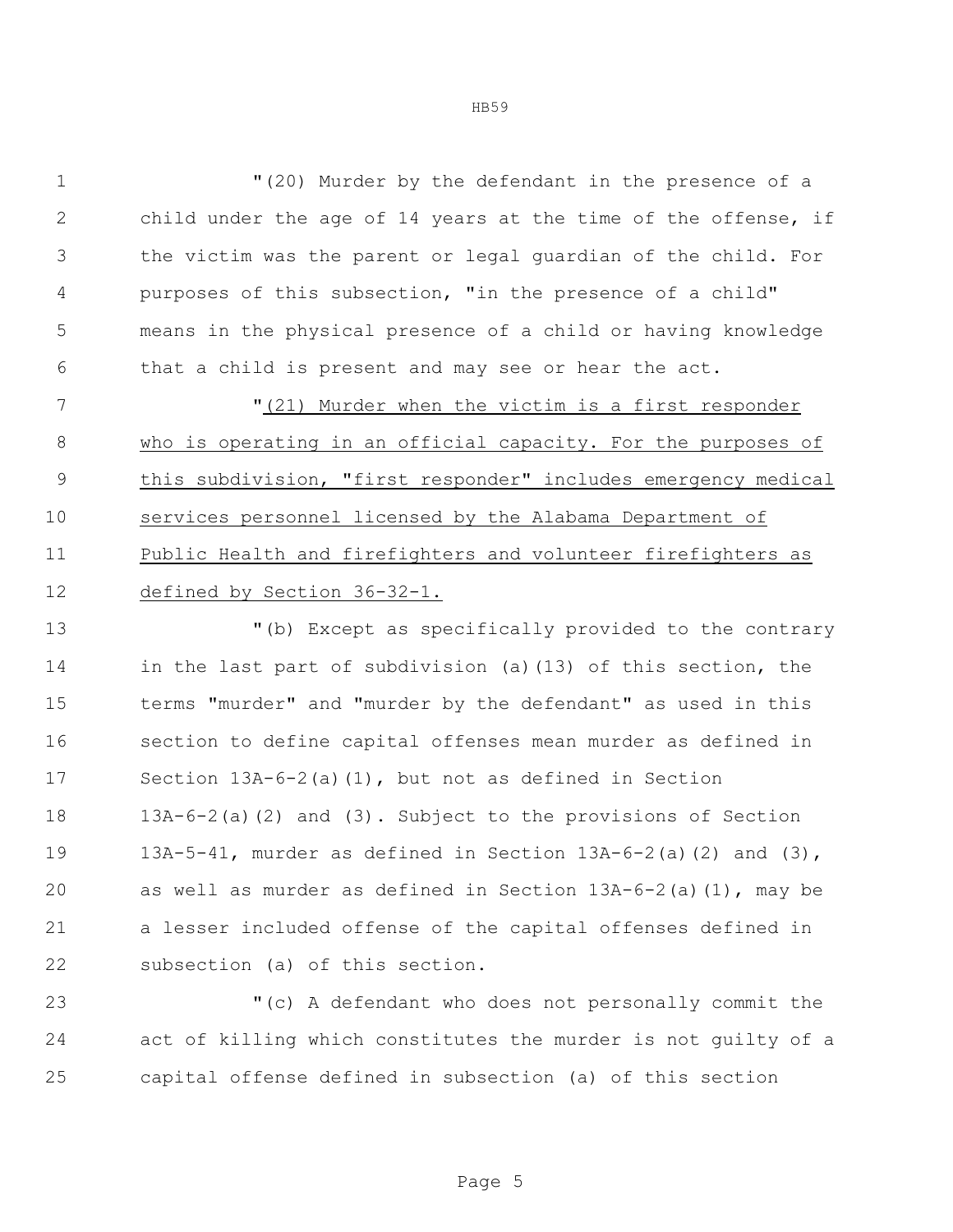"(20) Murder by the defendant in the presence of a child under the age of 14 years at the time of the offense, if the victim was the parent or legal guardian of the child. For purposes of this subsection, "in the presence of a child" means in the physical presence of a child or having knowledge that a child is present and may see or hear the act.

7 The U<sub>(21)</sub> Murder when the victim is a first responder who is operating in an official capacity. For the purposes of this subdivision, "first responder" includes emergency medical services personnel licensed by the Alabama Department of Public Health and firefighters and volunteer firefighters as 12 defined by Section 36-32-1.

 "(b) Except as specifically provided to the contrary in the last part of subdivision (a)(13) of this section, the terms "murder" and "murder by the defendant" as used in this section to define capital offenses mean murder as defined in Section 13A-6-2(a)(1), but not as defined in Section 13A-6-2(a)(2) and (3). Subject to the provisions of Section 13A-5-41, murder as defined in Section 13A-6-2(a)(2) and (3), as well as murder as defined in Section 13A-6-2(a)(1), may be a lesser included offense of the capital offenses defined in subsection (a) of this section.

 "(c) A defendant who does not personally commit the act of killing which constitutes the murder is not guilty of a capital offense defined in subsection (a) of this section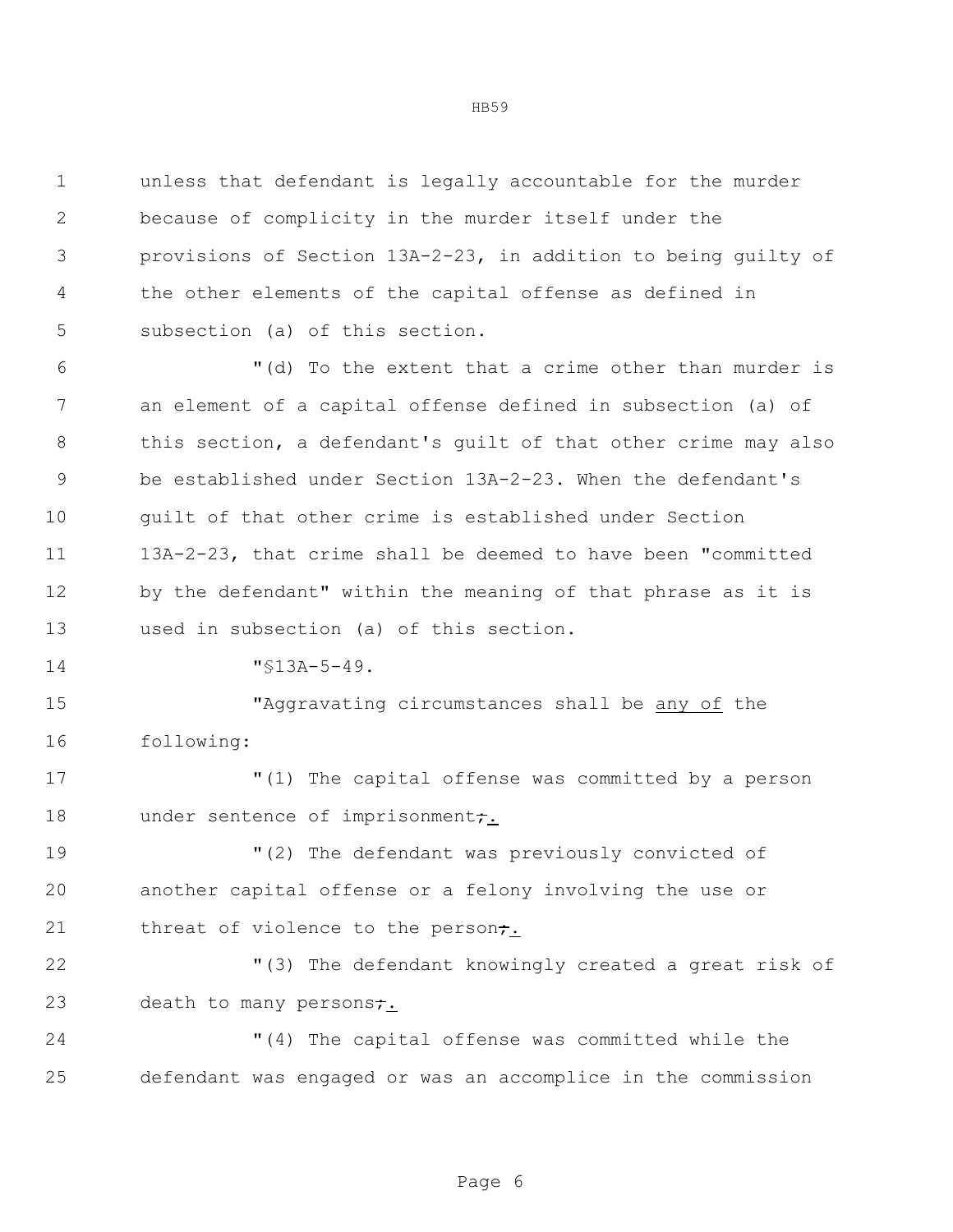unless that defendant is legally accountable for the murder because of complicity in the murder itself under the provisions of Section 13A-2-23, in addition to being guilty of the other elements of the capital offense as defined in subsection (a) of this section.

 "(d) To the extent that a crime other than murder is an element of a capital offense defined in subsection (a) of this section, a defendant's guilt of that other crime may also be established under Section 13A-2-23. When the defendant's guilt of that other crime is established under Section 13A-2-23, that crime shall be deemed to have been "committed by the defendant" within the meaning of that phrase as it is used in subsection (a) of this section.

14 "\\$13A-5-49.

 "Aggravating circumstances shall be any of the following:

 "(1) The capital offense was committed by a person 18 under sentence of imprisonment<del>;</del>.

 "(2) The defendant was previously convicted of another capital offense or a felony involving the use or 21 threat of violence to the person<del>;</del>.

 "(3) The defendant knowingly created a great risk of 23 death to many persons;

 "(4) The capital offense was committed while the defendant was engaged or was an accomplice in the commission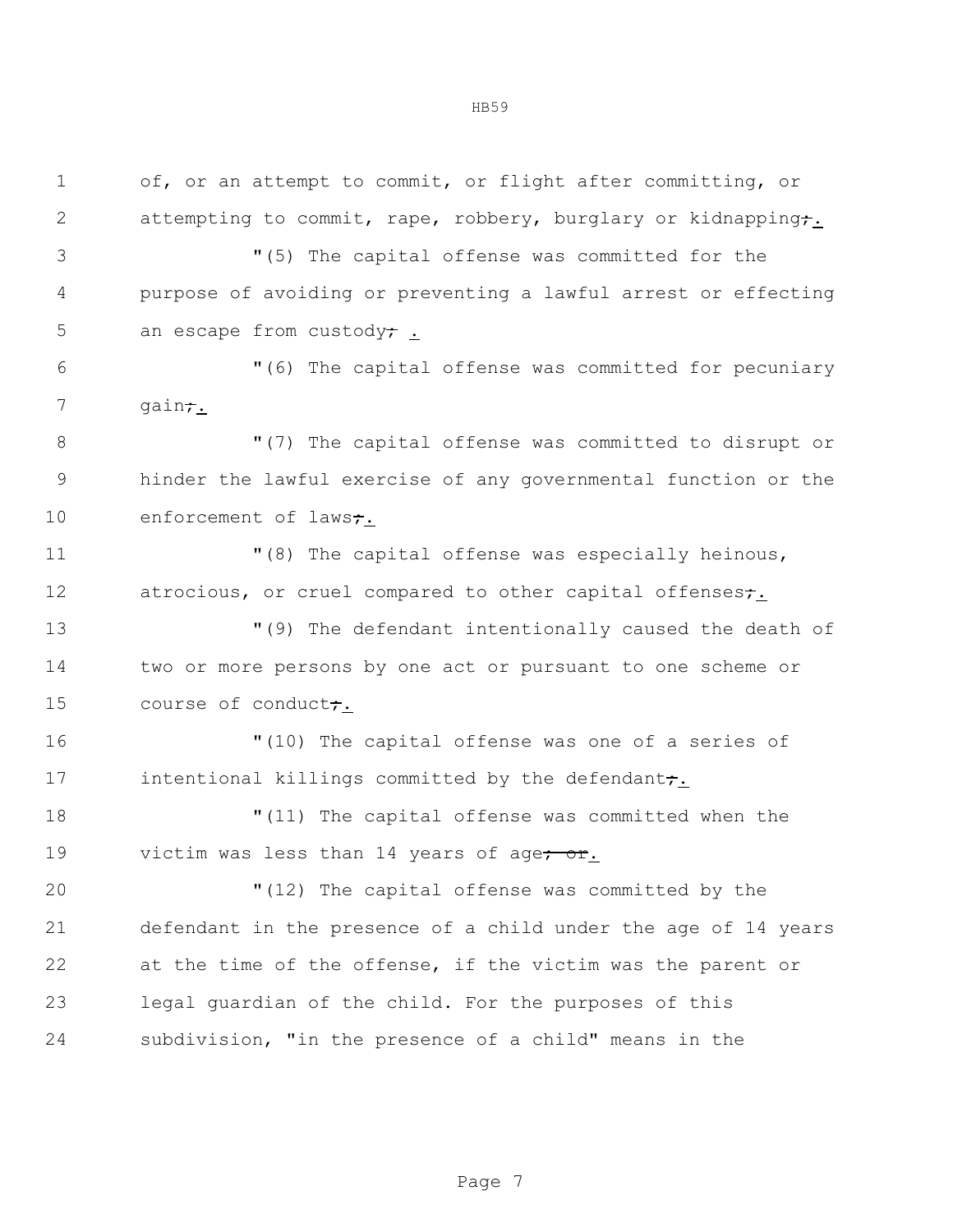of, or an attempt to commit, or flight after committing, or 2 attempting to commit, rape, robbery, burglary or kidnapping;

 "(5) The capital offense was committed for the purpose of avoiding or preventing a lawful arrest or effecting 5 an escape from custody;

 "(6) The capital offense was committed for pecuniary 7 gain;

 "(7) The capital offense was committed to disrupt or hinder the lawful exercise of any governmental function or the 10 enforcement of laws<del>;</del>.

 "(8) The capital offense was especially heinous, 12 atrocious, or cruel compared to other capital offenses;

 "(9) The defendant intentionally caused the death of two or more persons by one act or pursuant to one scheme or 15 course of conduct;

 "(10) The capital offense was one of a series of 17 intentional killings committed by the defendant;

 "(11) The capital offense was committed when the 19 victim was less than 14 years of age<del>; or</del>.

 "(12) The capital offense was committed by the defendant in the presence of a child under the age of 14 years at the time of the offense, if the victim was the parent or legal guardian of the child. For the purposes of this subdivision, "in the presence of a child" means in the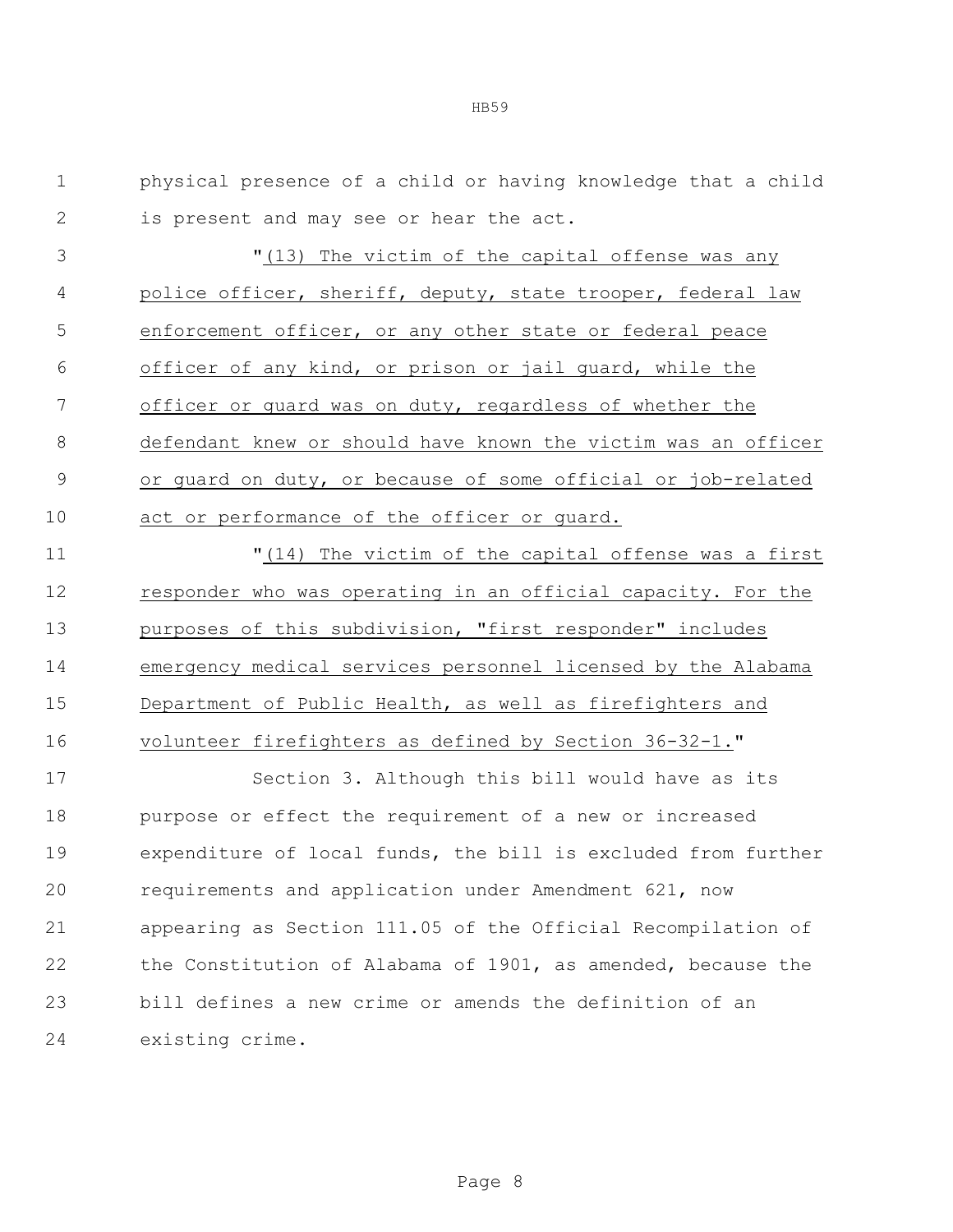HB59

 physical presence of a child or having knowledge that a child is present and may see or hear the act.

 "(13) The victim of the capital offense was any police officer, sheriff, deputy, state trooper, federal law enforcement officer, or any other state or federal peace officer of any kind, or prison or jail guard, while the officer or guard was on duty, regardless of whether the defendant knew or should have known the victim was an officer or guard on duty, or because of some official or job-related act or performance of the officer or guard.

 "(14) The victim of the capital offense was a first responder who was operating in an official capacity. For the purposes of this subdivision, "first responder" includes emergency medical services personnel licensed by the Alabama Department of Public Health, as well as firefighters and volunteer firefighters as defined by Section 36-32-1."

 Section 3. Although this bill would have as its purpose or effect the requirement of a new or increased expenditure of local funds, the bill is excluded from further requirements and application under Amendment 621, now appearing as Section 111.05 of the Official Recompilation of the Constitution of Alabama of 1901, as amended, because the bill defines a new crime or amends the definition of an existing crime.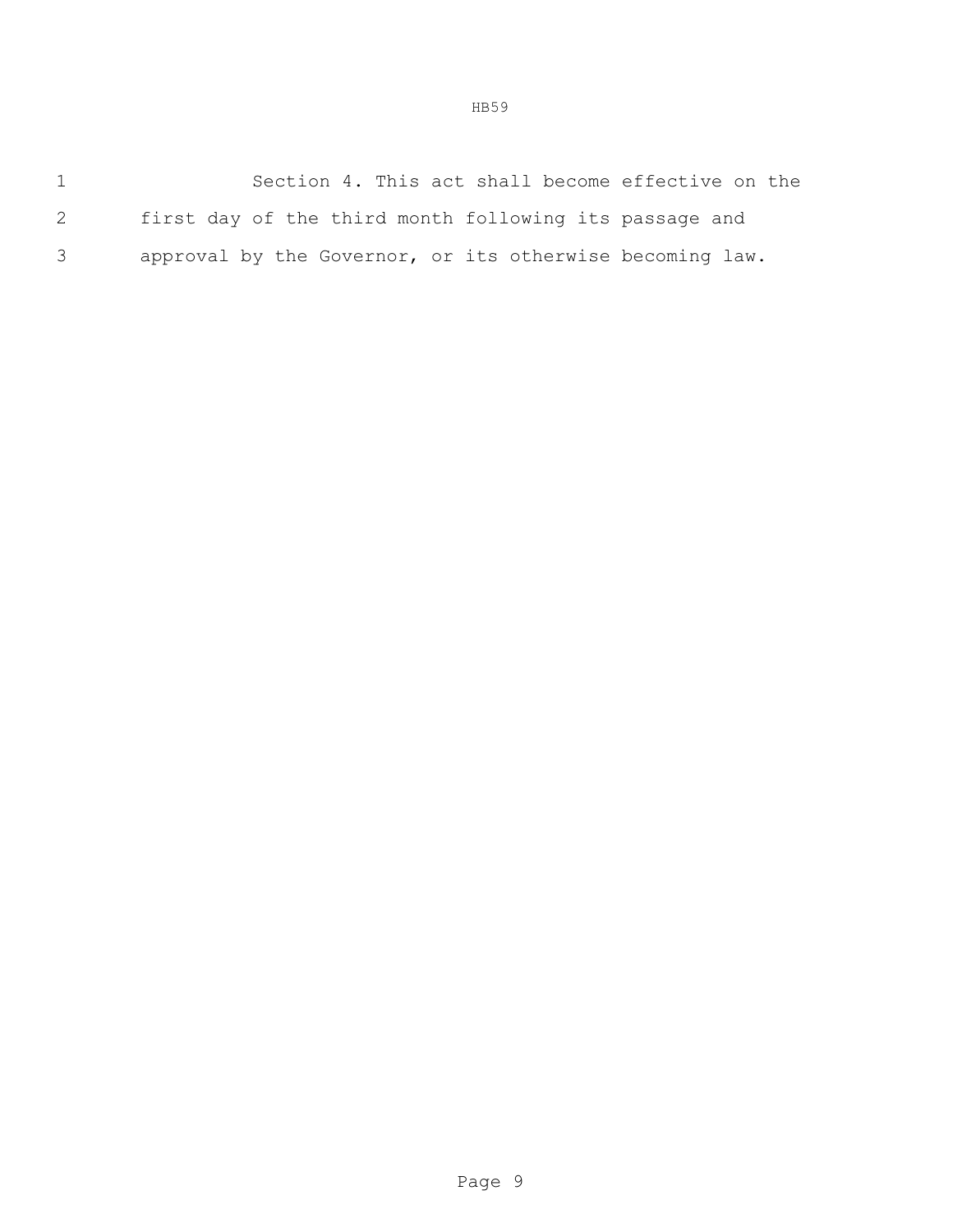1 Section 4. This act shall become effective on the 2 first day of the third month following its passage and 3 approval by the Governor, or its otherwise becoming law.